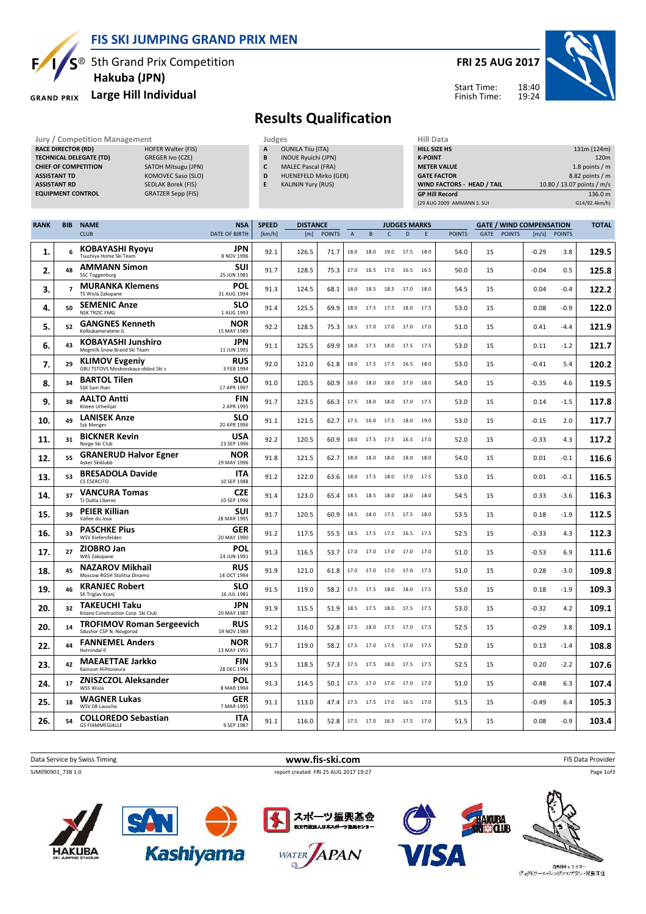

### FIS SKI JUMPING GRAND PRIX MEN

**5th Grand Prix Competition** Hakuba (JPN)

#### Large Hill Individual **GRAND PRIX**

## FRI 25 AUG 2017



Start Time: Finish Time:

## Results Qualification

Jury / Competition Management Judges Judges Hill Dat<br>
RACE DIRECTOR (RD) HILL SIZE HOFER Walter (FIS) **A** OUNILA Till (ITA) **HILL SIZE** RACE DIRECTOR (RD) TECHNICAL DELEGATE (TD) GREGER Ivo (CZE) CHIEF OF COMPETITION SATOH Mitsugu (JPN) ASSISTANT TD KOMOVEC Saso (SLO) ASSISTANT RD SEDLAK Borek (FIS) EQUIPMENT CONTROL GRATZER Sepp (FIS)

- OUNILA Tiiu (ITA) B INOUE Ryuichi (JPN) C MALEC Pascal (FRA) D HUENEFELD Mirko (GER)
- E KALININ Yury (RUS)

| Hiii Data                         |                            |
|-----------------------------------|----------------------------|
| HILL SIZE HS                      | 131m (124m)                |
| <b>K-POINT</b>                    | 120 <sub>m</sub>           |
| <b>METER VALUE</b>                | 1.8 points $/m$            |
| <b>GATE FACTOR</b>                | 8.82 points / m            |
| <b>WIND FACTORS - HEAD / TAIL</b> | 10.80 / 13.07 points / m/s |
| <b>GP Hill Record</b>             | 136.0 m                    |
| (29 AUG 2009 AMMANN S. SUI        | G14/92.4km/h)              |

| <b>RANK</b> | <b>BIB</b>               | <b>NAME</b>                                                  | <b>NSA</b>                | <b>SPEED</b> | <b>DISTANCE</b> |               |                | <b>JUDGES MARKS</b> |                |           |      | <b>GATE / WIND COMPENSATION</b> |             |               |         |               | <b>TOTAL</b> |
|-------------|--------------------------|--------------------------------------------------------------|---------------------------|--------------|-----------------|---------------|----------------|---------------------|----------------|-----------|------|---------------------------------|-------------|---------------|---------|---------------|--------------|
|             |                          | <b>CLUB</b>                                                  | <b>DATE OF BIRTH</b>      | [km/h]       | [m]             | <b>POINTS</b> | $\overline{A}$ | B                   | $\mathsf{C}$   | D         | F    | <b>POINTS</b>                   | <b>GATE</b> | <b>POINTS</b> | [m/s]   | <b>POINTS</b> |              |
| 1.          | 6                        | <b>KOBAYASHI Ryoyu</b><br>Tsuchiya Home Ski Team             | JPN<br>8 NOV 1996         | 92.1         | 126.5           | 71.7          | 18.0           | 18.0                | 19.0           | 17.5      | 18.0 | 54.0                            | 15          |               | $-0.29$ | 3.8           | 129.5        |
| 2.          | 48                       | <b>AMMANN Simon</b><br><b>SSC Toggenburg</b>                 | <b>SUI</b><br>25 JUN 1981 | 91.7         | 128.5           | 75.3          | 17.0           | 16.5                | 17.0           | 16.5      | 16.5 | 50.0                            | 15          |               | $-0.04$ | 0.5           | 125.8        |
| 3.          | $\overline{\phantom{a}}$ | <b>MURANKA Klemens</b><br>TS Wisla Zakopane                  | <b>POL</b><br>31 AUG 1994 | 91.3         | 124.5           | 68.1          | 18.0           | 18.5                | 18.5           | 17.0      | 18.0 | 54.5                            | 15          |               | 0.04    | $-0.4$        | 122.2        |
| 4.          | 50                       | <b>SEMENIC Anze</b><br><b>NSK TRZIC FMG</b>                  | <b>SLO</b><br>1 AUG 1993  | 91.4         | 125.5           | 69.9          | 18.0           | 17.5                | 17.5           | 18.0      | 17.5 | 53.0                            | 15          |               | 0.08    | $-0.9$        | 122.0        |
| 5.          | 52                       | <b>GANGNES Kenneth</b><br>Kolbukameratene IL                 | <b>NOR</b><br>15 MAY 1989 | 92.2         | 128.5           | 75.3          | 18.5           | 17.0                | 17.0           | 17.0 17.0 |      | 51.0                            | 15          |               | 0.41    | $-4.4$        | 121.9        |
| 6.          | 43                       | <b>KOBAYASHI Junshiro</b><br>Megmilk Snow Brand Ski Team     | JPN<br>11 JUN 1991        | 91.1         | 125.5           | 69.9          | 18.0           | 17.5                | 18.0           | 17.5      | 17.5 | 53.0                            | 15          |               | 0.11    | $-1.2$        | 121.7        |
| 7.          | 29                       | <b>KLIMOV Evgeniy</b><br>GBU TSTOVS Moskovskaya oblast Ski s | <b>RUS</b><br>3 FEB 1994  | 92.0         | 121.0           | 61.8          | 18.0           | 17.5                | 17.5           | 16.5      | 18.0 | 53.0                            | 15          |               | $-0.41$ | 5.4           | 120.2        |
| 8.          | 34                       | <b>BARTOL Tilen</b><br>SSK Sam Ihan                          | <b>SLO</b><br>17 APR 1997 | 91.0         | 120.5           | 60.9          | 18.0           | 18.0                | 18.0           | 17.0      | 18.0 | 54.0                            | 15          |               | $-0.35$ | 4.6           | 119.5        |
| 9.          | 38                       | <b>AALTO Antti</b><br>Kiteen Urheilijat                      | <b>FIN</b><br>2 APR 1995  | 91.7         | 123.5           | 66.3          | 17.5           | 18.0                | 18.0           | 17.0      | 17.5 | 53.0                            | 15          |               | 0.14    | $-1.5$        | 117.8        |
| 10.         | 49                       | <b>LANISEK Anze</b><br><b>Ssk Menges</b>                     | <b>SLO</b><br>20 APR 1996 | 91.1         | 121.5           | 62.7          | 17.5           | 16.0                | 17.5           | 18.0      | 19.0 | 53.0                            | 15          |               | $-0.15$ | 2.0           | 117.7        |
| 11.         | 31                       | <b>BICKNER Kevin</b><br>Norge Ski Club                       | <b>USA</b><br>23 SEP 1996 | 92.2         | 120.5           | 60.9          | 18.0           | 17.5                | 17.5           | 16.5      | 17.0 | 52.0                            | 15          |               | $-0.33$ | 4.3           | 117.2        |
| 12.         | 55                       | <b>GRANERUD Halvor Egner</b><br>Asker Skiklubb               | <b>NOR</b><br>29 MAY 1996 | 91.8         | 121.5           | 62.7          | 18.0           | 18.0                | 18.0           | 18.0      | 18.0 | 54.0                            | 15          |               | 0.01    | $-0.1$        | 116.6        |
| 13.         | 53                       | <b>BRESADOLA Davide</b><br>CS ESERCITO                       | ITA<br>10 SEP 1988        | 91.2         | 122.0           | 63.6          | 18.0           | 17.5                | 18.0           | 17.0      | 17.5 | 53.0                            | 15          |               | 0.01    | $-0.1$        | 116.5        |
| 14.         | 37                       | <b>VANCURA Tomas</b><br>TJ Dukla Liberec                     | CZE<br>10 SEP 1996        | 91.4         | 123.0           | 65.4          | 18.5           | 18.5                | 18.0           | 18.0      | 18.0 | 54.5                            | 15          |               | 0.33    | -3.6          | 116.3        |
| 15.         | 39                       | <b>PEIER Killian</b><br>Vallee du Joux                       | <b>SUI</b><br>28 MAR 1995 | 91.7         | 120.5           | 60.9          | 18.5           | 18.0                | 17.5           | 17.5      | 18.0 | 53.5                            | 15          |               | 0.18    | $-1.9$        | 112.5        |
| 16.         | 33                       | <b>PASCHKE Pius</b><br>WSV Kiefersfelden                     | <b>GER</b><br>20 MAY 1990 | 91.2         | 117.5           | 55.5          | 18.5           | 17.5                | 17.5           | 16.5      | 17.5 | 52.5                            | 15          |               | $-0.33$ | 4.3           | 112.3        |
| 17.         | 27                       | <b>ZIOBRO Jan</b><br><b>WKS Zakopane</b>                     | <b>POL</b><br>24 JUN 1991 | 91.3         | 116.5           | 53.7          | 17.0           | 17.0                | 17.0           | 17.0      | 17.0 | 51.0                            | 15          |               | $-0.53$ | 6.9           | 111.6        |
| 18.         | 45                       | <b>NAZAROV Mikhail</b><br>Moscow RGSH Stolitsa Dinamo        | RUS<br>14 OCT 1994        | 91.9         | 121.0           | 61.8          | 17.0           | 17.0                | 17.0           | 17.0      | 17.5 | 51.0                            | 15          |               | 0.28    | $-3.0$        | 109.8        |
| 19.         | 46                       | <b>KRANJEC Robert</b><br>SK Triglav Kranj                    | <b>SLO</b><br>16 JUL 1981 | 91.5         | 119.0           | 58.2          | 17.5           | 17.5                | 18.0           | 18.0      | 17.5 | 53.0                            | 15          |               | 0.18    | $-1.9$        | 109.3        |
| 20.         | 32                       | <b>TAKEUCHI Taku</b><br>Kitano Construction Corp. Ski Club   | <b>JPN</b><br>20 MAY 1987 | 91.9         | 115.5           | 51.9          | 18.5           | 17.5                | 18.0           | 17.5      | 17.5 | 53.0                            | 15          |               | $-0.32$ | 4.2           | 109.1        |
| 20.         | 14                       | <b>TROFIMOV Roman Sergeevich</b><br>Sdushor CSP N. Novgorod  | <b>RUS</b><br>19 NOV 1989 | 91.2         | 116.0           | 52.8          | 17.5           | 18.0                | 17.5           | 17.0      | 17.5 | 52.5                            | 15          |               | $-0.29$ | 3.8           | 109.1        |
| 22.         | 44                       | <b>FANNEMEL Anders</b><br>Hornindal II                       | <b>NOR</b><br>13 MAY 1991 | 91.7         | 119.0           | 58.2          | 17.5           | 17.0                | 17.5           | 17.0      | 17.5 | 52.0                            | 15          |               | 0.13    | $-1.4$        | 108.8        |
| 23.         | 42                       | <b>MAEAETTAE Jarkko</b><br>Kainuun Hiihtoseura               | <b>FIN</b><br>28 DEC 1994 | 91.5         | 118.5           | 57.3          | 17.5           | 17.5                | 18.0           | 17.5      | 17.5 | 52.5                            | 15          |               | 0.20    | $-2.2$        | 107.6        |
| 24.         | 17                       | <b>ZNISZCZOL Aleksander</b><br>WSS Wisla                     | <b>POL</b><br>8 MAR 1994  | 91.3         | 114.5           | 50.1          | 17.5           | 17.0                | 17.0           | 17.0 17.0 |      | 51.0                            | 15          |               | $-0.48$ | 6.3           | 107.4        |
| 25.         | 18                       | <b>WAGNER Lukas</b><br>WSV 08 Lauscha                        | <b>GER</b><br>7 MAR 1995  | 91.1         | 113.0           | 47.4          | 17.5           | 17.5                | 17.0           | 16.5      | 17.0 | 51.5                            | 15          |               | $-0.49$ | 6.4           | 105.3        |
| 26.         | 54                       | <b>COLLOREDO Sebastian</b><br><b>GS FIAMMEGIALLE</b>         | <b>ITA</b><br>9 SEP 1987  | 91.1         | 116.0           | 52.8          | 17.5           |                     | 17.0 16.5 17.5 |           | 17.0 | 51.5                            | 15          |               | 0.08    | $-0.9$        | 103.4        |
|             |                          |                                                              |                           |              |                 |               |                |                     |                |           |      |                                 |             |               |         |               |              |



WATER APAN

 $\circ$ 

**Kashiyama** 

**HAKUBA** 

- 白馬村キャラクター<br>ヴィクトワール・シュヴァルプラン・村男Ⅲ世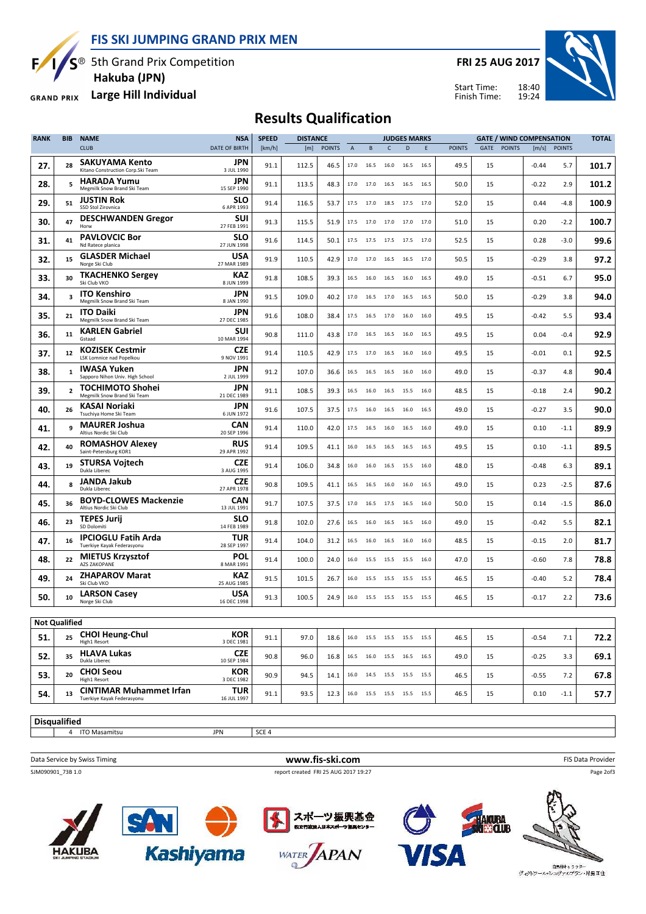FIS SKI JUMPING GRAND PRIX MEN



 $\overline{S}$ <sup>®</sup> 5th Grand Prix Competition Hakuba (JPN)

Large Hill Individual **GRAND PRIX** 

FRI 25 AUG 2017



Start Time: Finish Time:

# Results Qualification

| <b>RANK</b>          | <b>BIB</b>     | <b>NAME</b>                                                  | <b>NSA</b>                              | <b>SPEED</b> | <b>DISTANCE</b> |               |                |      |                              | <b>JUDGES MARKS</b> |      |               | <b>TOTAL</b> |               |         |               |       |
|----------------------|----------------|--------------------------------------------------------------|-----------------------------------------|--------------|-----------------|---------------|----------------|------|------------------------------|---------------------|------|---------------|--------------|---------------|---------|---------------|-------|
|                      |                | <b>CLUB</b>                                                  | <b>DATE OF BIRTH</b>                    | [km/h]       | [m]             | <b>POINTS</b> | $\overline{A}$ | B    | $\mathsf{C}$                 | D                   | E    | <b>POINTS</b> | GATE         | <b>POINTS</b> | [m/s]   | <b>POINTS</b> |       |
| 27.                  | 28             | SAKUYAMA Kento<br>Kitano Construction Corp.Ski Team          | JPN<br>3 JUL 1990                       | 91.1         | 112.5           | 46.5          | 17.0           | 16.5 | 16.0                         | 16.5                | 16.5 | 49.5          | 15           |               | $-0.44$ | 5.7           | 101.7 |
| 28.                  | 5              | <b>HARADA Yumu</b><br>Megmilk Snow Brand Ski Team            | <b>JPN</b><br>15 SEP 1990               | 91.1         | 113.5           | 48.3          | 17.0           | 17.0 | 16.5                         | 16.5                | 16.5 | 50.0          | 15           |               | $-0.22$ | 2.9           | 101.2 |
| 29.                  | 51             | <b>JUSTIN Rok</b><br>SSD Stol Zirovnica                      | SLO<br>6 APR 1993                       | 91.4         | 116.5           | 53.7          | 17.5           | 17.0 | 18.5                         | 17.5                | 17.0 | 52.0          | 15           |               | 0.44    | $-4.8$        | 100.9 |
| 30.                  | 47             | <b>DESCHWANDEN Gregor</b><br>Horw                            | SUI<br>27 FEB 1991                      | 91.3         | 115.5           | 51.9          | 17.5           | 17.0 | 17.0                         | 17.0                | 17.0 | 51.0          | 15           |               | 0.20    | $-2.2$        | 100.7 |
| 31.                  | 41             | <b>PAVLOVCIC Bor</b><br>Nd Ratece planica                    | SLO<br>27 JUN 1998                      | 91.6         | 114.5           | 50.1          | 17.5           | 17.5 | 17.5                         | 17.5                | 17.0 | 52.5          | 15           |               | 0.28    | $-3.0$        | 99.6  |
| 32.                  | 15             | <b>GLASDER Michael</b><br>Norge Ski Club                     | <b>USA</b><br>27 MAR 1989               | 91.9         | 110.5           | 42.9          | 17.0           | 17.0 | 16.5                         | 16.5                | 17.0 | 50.5          | 15           |               | $-0.29$ | 3.8           | 97.2  |
| 33.                  | 30             | <b>TKACHENKO Sergey</b><br>Ski Club VKO                      | KAZ<br>8 JUN 1999                       | 91.8         | 108.5           | 39.3          | 16.5           | 16.0 | 16.5                         | 16.0                | 16.5 | 49.0          | 15           |               | $-0.51$ | 6.7           | 95.0  |
| 34.                  | 3              | <b>ITO Kenshiro</b><br>Megmilk Snow Brand Ski Team           | JPN<br>8 JAN 1990                       | 91.5         | 109.0           | 40.2          | 17.0           | 16.5 | 17.0                         | 16.5                | 16.5 | 50.0          | 15           |               | $-0.29$ | 3.8           | 94.0  |
| 35.                  | 21             | <b>ITO Daiki</b><br>Megmilk Snow Brand Ski Team              | <b>JPN</b><br>27 DEC 1985               | 91.6         | 108.0           | 38.4          | 17.5           | 16.5 | 17.0                         | 16.0                | 16.0 | 49.5          | 15           |               | $-0.42$ | 5.5           | 93.4  |
| 36.                  | 11             | <b>KARLEN Gabriel</b><br>Gstaad                              | SUI<br>10 MAR 1994                      | 90.8         | 111.0           | 43.8          | 17.0           | 16.5 | 16.5                         | 16.0                | 16.5 | 49.5          | 15           |               | 0.04    | $-0.4$        | 92.9  |
| 37.                  | 12             | <b>KOZISEK Cestmir</b><br><b>LSK Lomnice nad Popelkou</b>    | <b>CZE</b><br>9 NOV 1991                | 91.4         | 110.5           | 42.9          | 17.5           | 17.0 | 16.5                         | 16.0                | 16.0 | 49.5          | 15           |               | $-0.01$ | 0.1           | 92.5  |
| 38.                  | $\mathbf{1}$   | <b>IWASA Yuken</b><br>Sapporo Nihon Univ. High School        | <b>JPN</b><br>2 JUL 1999                | 91.2         | 107.0           | 36.6          | 16.5           | 16.5 | 16.5                         | 16.0                | 16.0 | 49.0          | 15           |               | $-0.37$ | 4.8           | 90.4  |
| 39.                  | $\overline{2}$ | <b>TOCHIMOTO Shohei</b><br>Megmilk Snow Brand Ski Team       | <b>JPN</b><br>21 DEC 1989               | 91.1         | 108.5           | 39.3          | 16.5           | 16.0 | 16.5                         | 15.5                | 16.0 | 48.5          | 15           |               | $-0.18$ | 2.4           | 90.2  |
| 40.                  | 26             | <b>KASAI Noriaki</b><br>Tsuchiya Home Ski Team               | JPN<br>6 JUN 1972                       | 91.6         | 107.5           | 37.5          | 17.5           | 16.0 | 16.5                         | 16.0                | 16.5 | 49.0          | 15           |               | $-0.27$ | 3.5           | 90.0  |
| 41.                  | 9              | <b>MAURER Joshua</b><br>Altius Nordic Ski Club               | <b>CAN</b><br>20 SEP 1996               | 91.4         | 110.0           | 42.0          | 17.5           | 16.5 | 16.0                         | 16.5                | 16.0 | 49.0          | 15           |               | 0.10    | $-1.1$        | 89.9  |
| 42.                  | 40             | <b>ROMASHOV Alexey</b><br>Saint-Petersburg KOR1              | <b>RUS</b><br>29 APR 1992               | 91.4         | 109.5           | 41.1          | 16.0           | 16.5 | 16.5                         | 16.5                | 16.5 | 49.5          | 15           |               | 0.10    | $-1.1$        | 89.5  |
| 43.                  | 19             | <b>STURSA Vojtech</b><br>Dukla Liberec                       | <b>CZE</b><br>3 AUG 1995                | 91.4         | 106.0           | 34.8          | 16.0           | 16.0 | 16.5                         | 15.5                | 16.0 | 48.0          | 15           |               | $-0.48$ | 6.3           | 89.1  |
| 44.                  | 8              | <b>JANDA Jakub</b><br>Dukla Liberec                          | <b>CZE</b><br>27 APR 1978               | 90.8         | 109.5           | 41.1          | 16.5           | 16.5 | 16.0                         | 16.0                | 16.5 | 49.0          | 15           |               | 0.23    | $-2.5$        | 87.6  |
| 45.                  | 36             | <b>BOYD-CLOWES Mackenzie</b><br>Altius Nordic Ski Club       | CAN<br>13 JUL 1991                      | 91.7         | 107.5           | 37.5          | 17.0           | 16.5 | 17.5                         | 16.5                | 16.0 | 50.0          | 15           |               | 0.14    | $-1.5$        | 86.0  |
| 46.                  | 23             | <b>TEPES Jurij</b><br>SD Dolomiti                            | <b>SLO</b><br>14 FEB 1989               | 91.8         | 102.0           | 27.6          | 16.5           | 16.0 | 16.5                         | 16.5                | 16.0 | 49.0          | 15           |               | $-0.42$ | 5.5           | 82.1  |
| 47.                  | 16             | <b>IPCIOGLU Fatih Arda</b><br>Tuerkiye Kayak Federasyonu     | <b>TUR</b><br>28 SEP 1997               | 91.4         | 104.0           | 31.2          | 16.5           | 16.0 | 16.5                         | 16.0                | 16.0 | 48.5          | 15           |               | $-0.15$ | 2.0           | 81.7  |
| 48.                  | 22             | <b>MIETUS Krzysztof</b><br>AZS ZAKOPANE                      | POL<br>8 MAR 1991                       | 91.4         | 100.0           | 24.0          | 16.0           | 15.5 | 15.5                         | 15.5                | 16.0 | 47.0          | 15           |               | $-0.60$ | 7.8           | 78.8  |
| 49.                  | 24             | <b>ZHAPAROV Marat</b><br>Ski Club VKO                        | KAZ<br>25 AUG 1985                      | 91.5         | 101.5           | 26.7          | 16.0           | 15.5 | 15.5                         | 15.5                | 15.5 | 46.5          | 15           |               | $-0.40$ | 5.2           | 78.4  |
| 50.                  | 10             | <b>LARSON Casey</b><br>Norge Ski Club                        | <b>USA</b><br>16 DEC 1998               | 91.3         | 100.5           | 24.9          |                |      | 16.0 15.5 15.5 15.5          |                     | 15.5 | 46.5          | 15           |               | $-0.17$ | 2.2           | 73.6  |
|                      |                |                                                              |                                         |              |                 |               |                |      |                              |                     |      |               |              |               |         |               |       |
| Not Qualified<br>51. | 25             | <b>CHOI Heung-Chul</b><br>High1 Resort                       | <b>KOR</b>                              | 91.1         | 97.0            | 18.6          |                |      | 16.0 15.5 15.5 15.5 15.5     |                     |      | 46.5          | 15           |               | $-0.54$ | 7.1           | 72.2  |
| 52.                  | 35             | <b>HLAVA Lukas</b><br>Dukla Liberec                          | 3 DEC 1981<br><b>CZE</b><br>10 SEP 1984 | 90.8         | 96.0            | 16.8          |                |      | 16.5 16.0 15.5 16.5 16.5     |                     |      | 49.0          | 15           |               | $-0.25$ | 3.3           | 69.1  |
| 53.                  | 20             | <b>CHOI Seou</b><br>High1 Resort                             | KOR<br>3 DEC 1982                       | 90.9         | 94.5            | 14.1          |                |      | 16.0  14.5  15.5  15.5  15.5 |                     |      | 46.5          | 15           |               | $-0.55$ | 7.2           | 67.8  |
| 54.                  | 13             | <b>CINTIMAR Muhammet Irfan</b><br>Tuerkiye Kayak Federasyonu | TUR<br>16 JUL 1997                      | 91.1         | 93.5            | 12.3          | 16.0           |      | 15.5 15.5 15.5               |                     | 15.5 | 46.5          | 15           |               | 0.10    | $-1.1$        | 57.7  |
|                      |                |                                                              |                                         |              |                 |               |                |      |                              |                     |      |               |              |               |         |               |       |
| <b>Disqualified</b>  |                |                                                              |                                         |              |                 |               |                |      |                              |                     |      |               |              |               |         |               |       |

4 ITO Masamitsu JPN SCE 4

Data Service by Swiss Timing **EXECUTE:** The Service by Swiss Timing FIS Data Provider SJM090901\_73B 1.0 report created FRI 25 AUG 2017 19:27

Page 2of3



**Kashiyama**